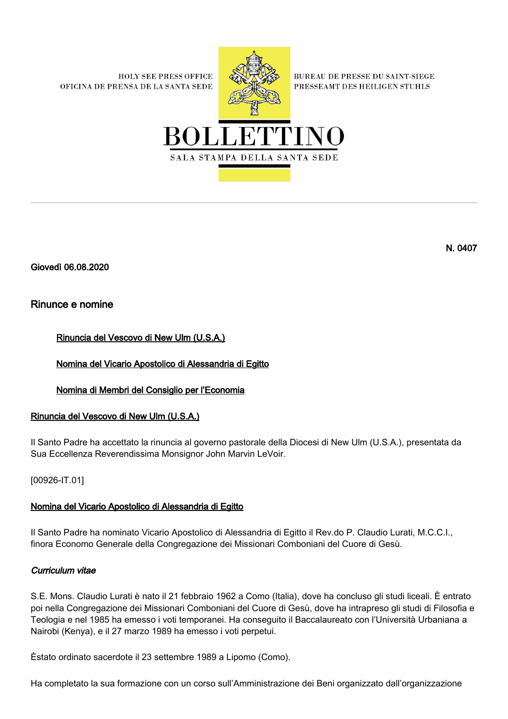**HOLY SEE PRESS OFFICE** OFICINA DE PRENSA DE LA SANTA SEDE



**BUREAU DE PRESSE DU SAINT-SIEGE** PRESSEAMT DES HEILIGEN STUHLS



Giovedì 06.08.2020

## Rinunce e nomine

Rinuncia del Vescovo di New Ulm (U.S.A.)

Nomina del Vicario Apostolico di Alessandria di Egitto

Nomina di Membri del Consiglio per l'Economia

# Rinuncia del Vescovo di New Ulm (U.S.A.)

Il Santo Padre ha accettato la rinuncia al governo pastorale della Diocesi di New Ulm (U.S.A.), presentata da Sua Eccellenza Reverendissima Monsignor John Marvin LeVoir.

[00926-IT.01]

### Nomina del Vicario Apostolico di Alessandria di Egitto

Il Santo Padre ha nominato Vicario Apostolico di Alessandria di Egitto il Rev.do P. Claudio Lurati, M.C.C.I., finora Economo Generale della Congregazione dei Missionari Comboniani del Cuore di Gesù.

### Curriculum vitae

S.E. Mons. Claudio Lurati è nato il 21 febbraio 1962 a Como (Italia), dove ha concluso gli studi liceali. È entrato poi nella Congregazione dei Missionari Comboniani del Cuore di Gesù, dove ha intrapreso gli studi di Filosofia e Teologia e nel 1985 ha emesso i voti temporanei. Ha conseguito il Baccalaureato con l'Università Urbaniana a Nairobi (Kenya), e il 27 marzo 1989 ha emesso i voti perpetui.

Èstato ordinato sacerdote il 23 settembre 1989 a Lipomo (Como).

Ha completato la sua formazione con un corso sull'Amministrazione dei Beni organizzato dall'organizzazione

N. 0407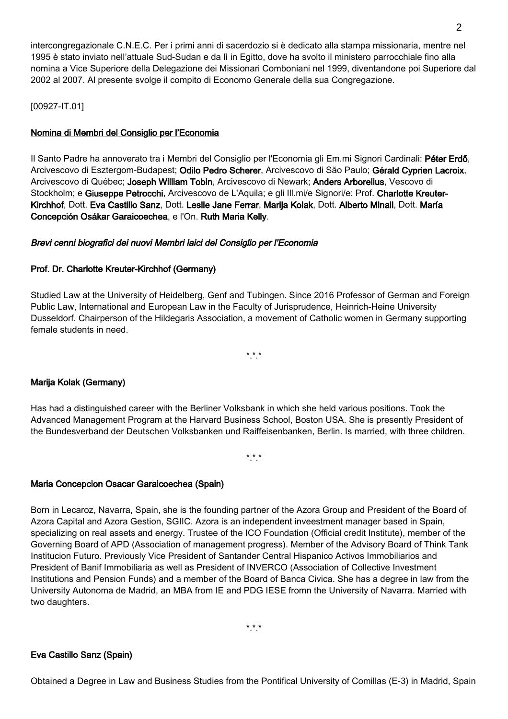intercongregazionale C.N.E.C. Per i primi anni di sacerdozio si è dedicato alla stampa missionaria, mentre nel 1995 è stato inviato nell'attuale Sud-Sudan e da lì in Egitto, dove ha svolto il ministero parrocchiale fino alla nomina a Vice Superiore della Delegazione dei Missionari Comboniani nel 1999, diventandone poi Superiore dal 2002 al 2007. Al presente svolge il compito di Economo Generale della sua Congregazione.

[00927-IT.01]

### Nomina di Membri del Consiglio per l'Economia

Il Santo Padre ha annoverato tra i Membri del Consiglio per l'Economia gli Em.mi Signori Cardinali: Péter Erdő, Arcivescovo di Esztergom-Budapest; Odilo Pedro Scherer, Arcivescovo di São Paulo; Gérald Cyprien Lacroix, Arcivescovo di Québec; Joseph William Tobin, Arcivescovo di Newark; Anders Arborelius, Vescovo di Stockholm; e Giuseppe Petrocchi, Arcivescovo de L'Aquila; e gli Ill.mi/e Signori/e: Prof. Charlotte Kreuter-Kirchhof, Dott. Eva Castillo Sanz, Dott. Leslie Jane Ferrar, Marija Kolak, Dott. Alberto Minali, Dott. María Concepción Osákar Garaicoechea, e l'On. Ruth Maria Kelly.

### Brevi cenni biografici dei nuovi Membri laici del Consiglio per l'Economia

### Prof. Dr. Charlotte Kreuter-Kirchhof (Germany)

Studied Law at the University of Heidelberg, Genf and Tubingen. Since 2016 Professor of German and Foreign Public Law, International and European Law in the Faculty of Jurisprudence, Heinrich-Heine University Dusseldorf. Chairperson of the Hildegaris Association, a movement of Catholic women in Germany supporting female students in need.

\*.\*.\*

### Marija Kolak (Germany)

Has had a distinguished career with the Berliner Volksbank in which she held various positions. Took the Advanced Management Program at the Harvard Business School, Boston USA. She is presently President of the Bundesverband der Deutschen Volksbanken und Raiffeisenbanken, Berlin. Is married, with three children.

\*.\*.\*

#### Maria Concepcion Osacar Garaicoechea (Spain)

Born in Lecaroz, Navarra, Spain, she is the founding partner of the Azora Group and President of the Board of Azora Capital and Azora Gestion, SGIIC. Azora is an independent inveestment manager based in Spain, specializing on real assets and energy. Trustee of the ICO Foundation (Official credit Institute), member of the Governing Board of APD (Association of management progress). Member of the Advisory Board of Think Tank Institucion Futuro. Previously Vice President of Santander Central Hispanico Activos Immobiliarios and President of Banif Immobiliaria as well as President of INVERCO (Association of Collective Investment Institutions and Pension Funds) and a member of the Board of Banca Civica. She has a degree in law from the University Autonoma de Madrid, an MBA from IE and PDG IESE fromn the University of Navarra. Married with two daughters.

#### Eva Castillo Sanz (Spain)

Obtained a Degree in Law and Business Studies from the Pontifical University of Comillas (E-3) in Madrid, Spain